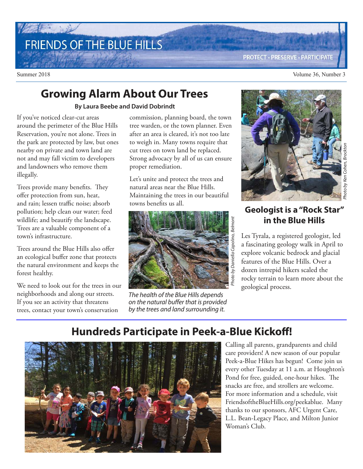## FRIENDS OF THE BLUE HILLS

#### **PROTECT · PRESERVE · PARTICIPATE**

Summer 2018 Volume 36, Number 3

#### **Growing Alarm About Our Trees**

#### **By Laura Beebe and David Dobrindt**

If you've noticed clear-cut areas around the perimeter of the Blue Hills Reservation, you're not alone. Trees in the park are protected by law, but ones nearby on private and town land are not and may fall victim to developers and landowners who remove them illegally.

Trees provide many benefits. They offer protection from sun, heat, and rain; lessen traffic noise; absorb pollution; help clean our water; feed wildlife; and beautify the landscape. Trees are a valuable component of a town's infrastructure.

Trees around the Blue Hills also offer an ecological buffer zone that protects the natural environment and keeps the forest healthy.

We need to look out for the trees in our neighborhoods and along our streets. If you see an activity that threatens trees, contact your town's conservation

commission, planning board, the town tree warden, or the town planner. Even after an area is cleared, it's not too late to weigh in. Many towns require that cut trees on town land be replaced. Strong advocacy by all of us can ensure proper remediation.

Let's unite and protect the trees and natural areas near the Blue Hills. Maintaining the trees in our beautiful towns benefits us all.



The health of the Blue Hills depends on the natural buffer that is provided by the trees and land surrounding it.



#### **Geologist is a "Rock Star" in the Blue Hills**

Les Tyrala, a registered geologist, led a fascinating geology walk in April to explore volcanic bedrock and glacial features of the Blue Hills. Over a dozen intrepid hikers scaled the rocky terrain to learn more about the geological process.

#### **Hundreds Participate in Peek-a-Blue Kickoff!**



Calling all parents, grandparents and child care providers! A new season of our popular Peek-a-Blue Hikes has begun! Come join us every other Tuesday at 11 a.m. at Houghton's Pond for free, guided, one-hour hikes. The snacks are free, and strollers are welcome. For more information and a schedule, visit FriendsoftheBlueHills.org/peekablue. Many thanks to our sponsors, AFC Urgent Care, L.L. Bean-Legacy Place, and Milton Junior Woman's Club.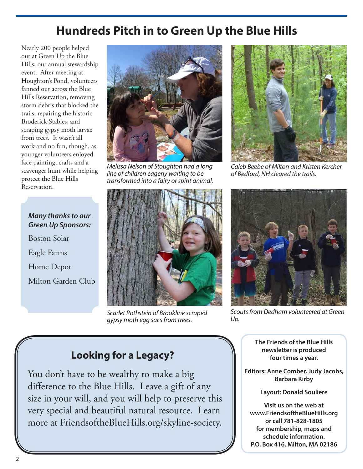## **Hundreds Pitch in to Green Up the Blue Hills**

Nearly 200 people helped out at Green Up the Blue Hills, our annual stewardship event. After meeting at Houghton's Pond, volunteers fanned out across the Blue Hills Reservation, removing storm debris that blocked the trails, repairing the historic Broderick Stables, and scraping gypsy moth larvae from trees. It wasn't all work and no fun, though, as younger volunteers enjoyed face painting, crafts and a scavenger hunt while helping protect the Blue Hills Reservation.



Melissa Nelson of Stoughton had a long line of children eagerly waiting to be transformed into a fairy or spirit animal.



Caleb Beebe of Milton and Kristen Kercher of Bedford, NH cleared the trails.

**Many thanks to our Green Up Sponsors:** Boston Solar Eagle Farms Home Depot Milton Garden Club



Scarlet Rothstein of Brookline scraped gypsy moth egg sacs from trees.



Scouts from Dedham volunteered at Green Up.

**The Friends of the Blue Hills newsletter is produced four times a year.**

**Editors: Anne Comber, Judy Jacobs, Barbara Kirby**

**Layout: Donald Souliere**

**Visit us on the web at www.FriendsoftheBlueHills.org or call 781-828-1805 for membership, maps and schedule information. P.O. Box 416, Milton, MA 02186**

#### **Looking for a Legacy?**

You don't have to be wealthy to make a big difference to the Blue Hills. Leave a gift of any size in your will, and you will help to preserve this very special and beautiful natural resource. Learn more at FriendsoftheBlueHills.org/skyline-society.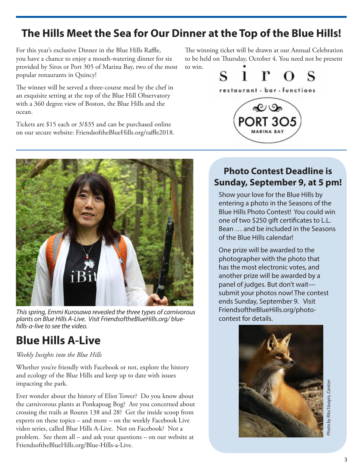### **The Hills Meet the Sea for Our Dinner at the Top of the Blue Hills!**

For this year's exclusive Dinner in the Blue Hills Raffle, you have a chance to enjoy a mouth-watering dinner for six provided by Siros or Port 305 of Marina Bay, two of the most popular restaurants in Quincy!

The winner will be served a three-course meal by the chef in an exquisite setting at the top of the Blue Hill Observatory with a 360 degree view of Boston, the Blue Hills and the ocean.

Tickets are \$15 each or 3/\$35 and can be purchased online on our secure website: FriendsoftheBlueHills.org/raffle2018.



This spring, Emmi Kurosawa revealed the three types of carnivorous plants on Blue Hills A-Live. Visit FriendsoftheBlueHills.org/ bluehills-a-live to see the video.

## **Blue Hills A-Live**

#### *Weekly Insights into the Blue Hills*

Whether you're friendly with Facebook or not, explore the history and ecology of the Blue Hills and keep up to date with issues impacting the park.

Ever wonder about the history of Eliot Tower? Do you know about the carnivorous plants at Ponkapoag Bog? Are you concerned about crossing the trails at Routes 138 and 28? Get the inside scoop from experts on these topics – and more – on the weekly Facebook Live video series, called Blue Hills A-Live. Not on Facebook? Not a problem. See them all – and ask your questions – on our website at FriendsoftheBlueHills.org/Blue-Hills-a-Live.

The winning ticket will be drawn at our Annual Celebration to be held on Thursday, October 4. You need not be present to win.



# **Photo Contest Deadline is Sunday, September 9, at 5 pm!**

Show your love for the Blue Hills by entering a photo in the Seasons of the Blue Hills Photo Contest! You could win one of two \$250 gift certificates to L.L. Bean … and be included in the Seasons of the Blue Hills calendar!

One prize will be awarded to the photographer with the photo that has the most electronic votes, and another prize will be awarded by a panel of judges. But don't wait submit your photos now! The contest ends Sunday, September 9. Visit FriendsoftheBlueHills.org/photocontest for details.



Photo by Rita Stuopis, Canton hoto by Rita Stuopis, Cantor